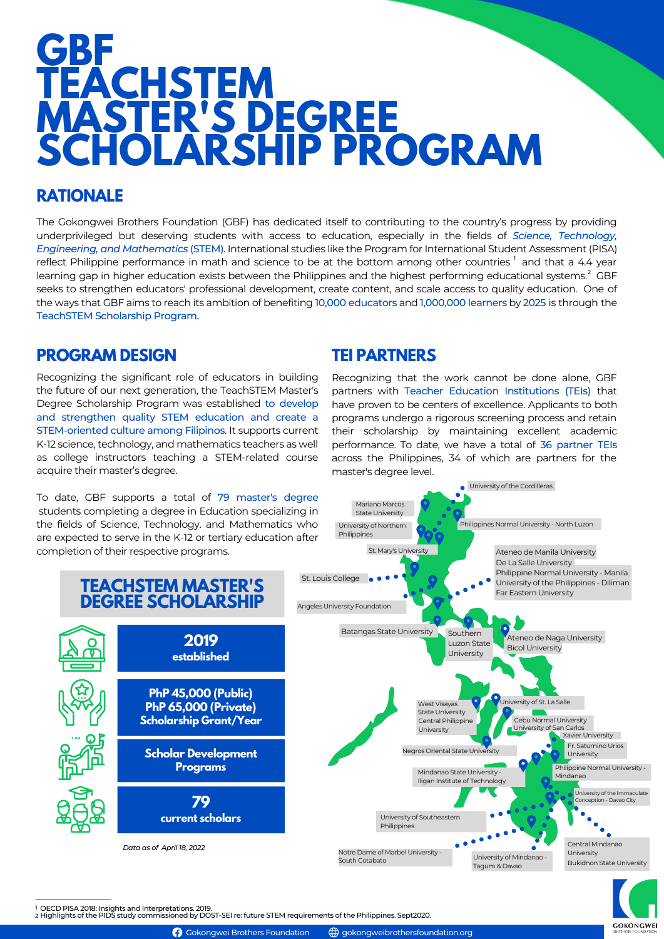# **GBF TEACHSTEM MASTER'S DEGREE SCHOLARSHIP PROGRAM**

### **RATIONALE**

The Gokongwei Brothers Foundation (GBF) has dedicated itself to contributing to the country's progress by providing underprivileged but deserving students with access to education, especially in the fields of *Science, Technology, Engineering, and Mathematics* (STEM). International studies like the Program for International Student Assessment (PISA) reflect Philippine performance in math and science to be at the bottom among other countries  $^{\rm l}$  and that a 4.4 year learning gap in higher education exists between the Philippines and the highest performing educational systems. $^2$  GBF seeks to strengthen educators' professional development, create content, and scale access to quality education. One of the ways that GBF aims to reach its ambition of benefiting 10,000 educators and 1,000,000 learners by 2025 is through the TeachSTEM Scholarship Program.

### **PROGRAM DESIGN**

Recognizing the significant role of educators in building the future of our next generation, the TeachSTEM Master's Degree Scholarship Program was established to develop and strengthen quality STEM education and create a STEM-oriented culture among Filipinos. It supports current K-12 science, technology, and mathematics teachers as well as college instructors teaching a STEM-related course acquire their master's degree.

To date, GBF supports a total of 79 master's degree students completing a degree in Education specializing in the fields of Science, Technology. and Mathematics who are expected to serve in the K-12 or tertiary education after completion of their respective programs.

#### **TEI PARTNERS**

Mariano Marcos

Recognizing that the work cannot be done alone, GBF partners with Teacher Education Institutions (TEIs) that have proven to be centers of excellence. Applicants to both programs undergo a rigorous screening process and retain their scholarship by maintaining excellent academic performance. To date, we have a total of 36 partner TEIs across the Philippines, 34 of which are partners for the master's degree level.

University of the Cordilleras

**GOKONGWEI** 



1 OECD PISA 2018: Insights and Interpretations. 2019.<br>2 Highlights of the PIDS study commissioned by DOST-SEI re: future STEM requirements of the Philippines. Sept2020.